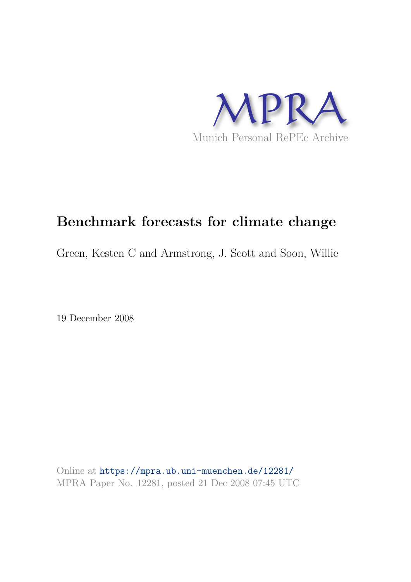

# **Benchmark forecasts for climate change**

Green, Kesten C and Armstrong, J. Scott and Soon, Willie

19 December 2008

Online at https://mpra.ub.uni-muenchen.de/12281/ MPRA Paper No. 12281, posted 21 Dec 2008 07:45 UTC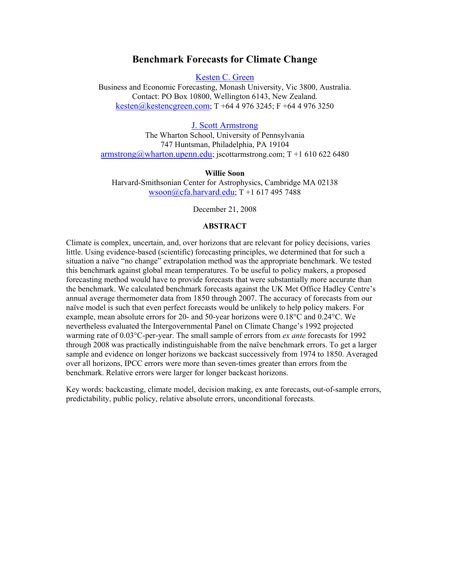# **Benchmark Forecasts for Climate Change**

Kesten C. Green

Business and Economic Forecasting, Monash University, Vic 3800, Australia. Contact: PO Box 10800, Wellington 6143, New Zealand. kesten@kestencgreen.com; T +64 4 976 3245; F +64 4 976 3250

J. Scott Armstrong The Wharton School, University of Pennsylvania 747 Huntsman, Philadelphia, PA 19104

 $armstrong@wharton.upenn.edu; iscottarmstrong.com; T+1 610 622 6480$ 

**Willie Soon** 

Harvard-Smithsonian Center for Astrophysics, Cambridge MA 02138 wsoon@cfa.harvard.edu; T +1 617 495 7488

December 21, 2008

# **ABSTRACT**

Climate is complex, uncertain, and, over horizons that are relevant for policy decisions, varies little. Using evidence-based (scientific) forecasting principles, we determined that for such a situation a naïve "no change" extrapolation method was the appropriate benchmark. We tested this benchmark against global mean temperatures. To be useful to policy makers, a proposed forecasting method would have to provide forecasts that were substantially more accurate than the benchmark. We calculated benchmark forecasts against the UK Met Office Hadley Centre's annual average thermometer data from 1850 through 2007. The accuracy of forecasts from our naïve model is such that even perfect forecasts would be unlikely to help policy makers. For example, mean absolute errors for 20- and 50-year horizons were 0.18°C and 0.24°C. We nevertheless evaluated the Intergovernmental Panel on Climate Change's 1992 projected warming rate of 0.03°C-per-year. The small sample of errors from *ex ante* forecasts for 1992 through 2008 was practically indistinguishable from the naïve benchmark errors. To get a larger sample and evidence on longer horizons we backcast successively from 1974 to 1850. Averaged over all horizons, IPCC errors were more than seven-times greater than errors from the benchmark. Relative errors were larger for longer backcast horizons.

Key words: backcasting, climate model, decision making, ex ante forecasts, out-of-sample errors, predictability, public policy, relative absolute errors, unconditional forecasts.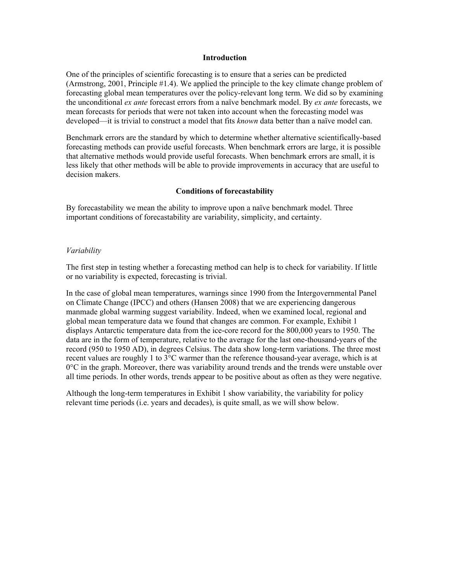#### **Introduction**

One of the principles of scientific forecasting is to ensure that a series can be predicted (Armstrong, 2001, Principle #1.4). We applied the principle to the key climate change problem of forecasting global mean temperatures over the policy-relevant long term. We did so by examining the unconditional *ex ante* forecast errors from a naïve benchmark model. By *ex ante* forecasts, we mean forecasts for periods that were not taken into account when the forecasting model was developed—it is trivial to construct a model that fits *known* data better than a naïve model can.

Benchmark errors are the standard by which to determine whether alternative scientifically-based forecasting methods can provide useful forecasts. When benchmark errors are large, it is possible that alternative methods would provide useful forecasts. When benchmark errors are small, it is less likely that other methods will be able to provide improvements in accuracy that are useful to decision makers.

# **Conditions of forecastability**

By forecastability we mean the ability to improve upon a naïve benchmark model. Three important conditions of forecastability are variability, simplicity, and certainty.

## *Variability*

The first step in testing whether a forecasting method can help is to check for variability. If little or no variability is expected, forecasting is trivial.

In the case of global mean temperatures, warnings since 1990 from the Intergovernmental Panel on Climate Change (IPCC) and others (Hansen 2008) that we are experiencing dangerous manmade global warming suggest variability. Indeed, when we examined local, regional and global mean temperature data we found that changes are common. For example, Exhibit 1 displays Antarctic temperature data from the ice-core record for the 800,000 years to 1950. The data are in the form of temperature, relative to the average for the last one-thousand-years of the record (950 to 1950 AD), in degrees Celsius. The data show long-term variations. The three most recent values are roughly 1 to  $3^{\circ}$ C warmer than the reference thousand-year average, which is at  $0^{\circ}$ C in the graph. Moreover, there was variability around trends and the trends were unstable over all time periods. In other words, trends appear to be positive about as often as they were negative.

Although the long-term temperatures in Exhibit 1 show variability, the variability for policy relevant time periods (i.e. years and decades), is quite small, as we will show below.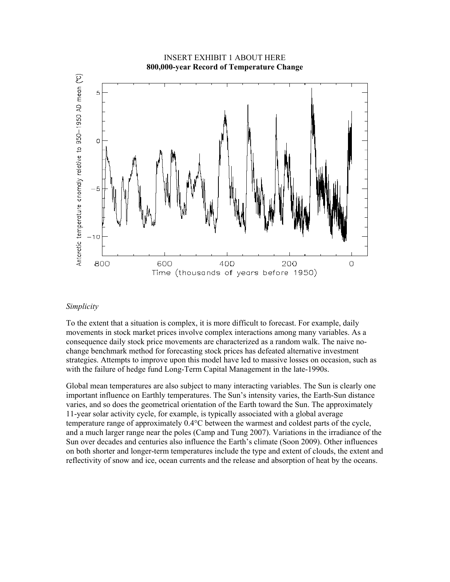

#### *Simplicity*

To the extent that a situation is complex, it is more difficult to forecast. For example, daily movements in stock market prices involve complex interactions among many variables. As a consequence daily stock price movements are characterized as a random walk. The naive nochange benchmark method for forecasting stock prices has defeated alternative investment strategies. Attempts to improve upon this model have led to massive losses on occasion, such as with the failure of hedge fund Long-Term Capital Management in the late-1990s.

Global mean temperatures are also subject to many interacting variables. The Sun is clearly one important influence on Earthly temperatures. The Sun's intensity varies, the Earth-Sun distance varies, and so does the geometrical orientation of the Earth toward the Sun. The approximately 11-year solar activity cycle, for example, is typically associated with a global average temperature range of approximately 0.4°C between the warmest and coldest parts of the cycle, and a much larger range near the poles (Camp and Tung 2007). Variations in the irradiance of the Sun over decades and centuries also influence the Earth's climate (Soon 2009). Other influences on both shorter and longer-term temperatures include the type and extent of clouds, the extent and reflectivity of snow and ice, ocean currents and the release and absorption of heat by the oceans.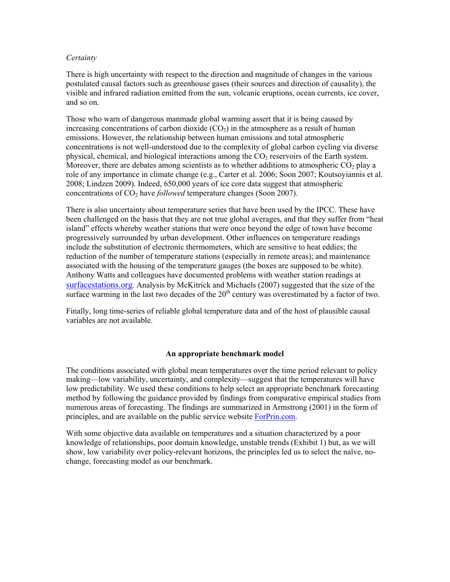## *Certainty*

There is high uncertainty with respect to the direction and magnitude of changes in the various postulated causal factors such as greenhouse gases (their sources and direction of causality), the visible and infrared radiation emitted from the sun, volcanic eruptions, ocean currents, ice cover, and so on.

Those who warn of dangerous manmade global warming assert that it is being caused by increasing concentrations of carbon dioxide  $(CO<sub>2</sub>)$  in the atmosphere as a result of human emissions. However, the relationship between human emissions and total atmospheric concentrations is not well-understood due to the complexity of global carbon cycling via diverse physical, chemical, and biological interactions among the  $CO<sub>2</sub>$  reservoirs of the Earth system. Moreover, there are debates among scientists as to whether additions to atmospheric  $CO<sub>2</sub>$  play a role of any importance in climate change (e.g., Carter et al. 2006; Soon 2007; Koutsoyiannis et al. 2008; Lindzen 2009). Indeed, 650,000 years of ice core data suggest that atmospheric concentrations of CO<sub>2</sub> have *followed* temperature changes (Soon 2007).

There is also uncertainty about temperature series that have been used by the IPCC. These have been challenged on the basis that they are not true global averages, and that they suffer from "heat island" effects whereby weather stations that were once beyond the edge of town have become progressively surrounded by urban development. Other influences on temperature readings include the substitution of electronic thermometers, which are sensitive to heat eddies; the reduction of the number of temperature stations (especially in remote areas); and maintenance associated with the housing of the temperature gauges (the boxes are supposed to be white). Anthony Watts and colleagues have documented problems with weather station readings at surfacestations.org. Analysis by McKitrick and Michaels (2007) suggested that the size of the surface warming in the last two decades of the  $20<sup>th</sup>$  century was overestimated by a factor of two.

Finally, long time-series of reliable global temperature data and of the host of plausible causal variables are not available.

# **An appropriate benchmark model**

The conditions associated with global mean temperatures over the time period relevant to policy making—low variability, uncertainty, and complexity—suggest that the temperatures will have low predictability. We used these conditions to help select an appropriate benchmark forecasting method by following the guidance provided by findings from comparative empirical studies from numerous areas of forecasting. The findings are summarized in Armstrong (2001) in the form of principles, and are available on the public service website ForPrin.com.

With some objective data available on temperatures and a situation characterized by a poor knowledge of relationships, poor domain knowledge, unstable trends (Exhibit 1) but, as we will show, low variability over policy-relevant horizons, the principles led us to select the naïve, nochange, forecasting model as our benchmark.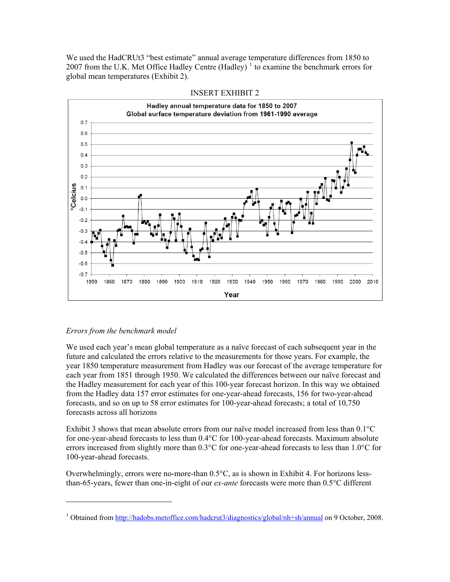We used the HadCRUt3 "best estimate" annual average temperature differences from 1850 to 2007 from the U.K. Met Office Hadley Centre (Hadley)<sup>1</sup> to examine the benchmark errors for global mean temperatures (Exhibit 2).





# *Errors from the benchmark model*

We used each year's mean global temperature as a naïve forecast of each subsequent year in the future and calculated the errors relative to the measurements for those years. For example, the year 1850 temperature measurement from Hadley was our forecast of the average temperature for each year from 1851 through 1950. We calculated the differences between our naïve forecast and the Hadley measurement for each year of this 100-year forecast horizon. In this way we obtained from the Hadley data 157 error estimates for one-year-ahead forecasts, 156 for two-year-ahead forecasts, and so on up to 58 error estimates for 100-year-ahead forecasts; a total of 10,750 forecasts across all horizons

Exhibit 3 shows that mean absolute errors from our naïve model increased from less than 0.1°C for one-year-ahead forecasts to less than 0.4°C for 100-year-ahead forecasts. Maximum absolute errors increased from slightly more than 0.3°C for one-year-ahead forecasts to less than 1.0°C for 100-year-ahead forecasts.

Overwhelmingly, errors were no-more-than 0.5°C, as is shown in Exhibit 4. For horizons lessthan-65-years, fewer than one-in-eight of our *ex-ante* forecasts were more than 0.5°C different

<sup>&</sup>lt;sup>1</sup> Obtained from http://hadobs.metoffice.com/hadcrut3/diagnostics/global/nh+sh/annual on 9 October, 2008.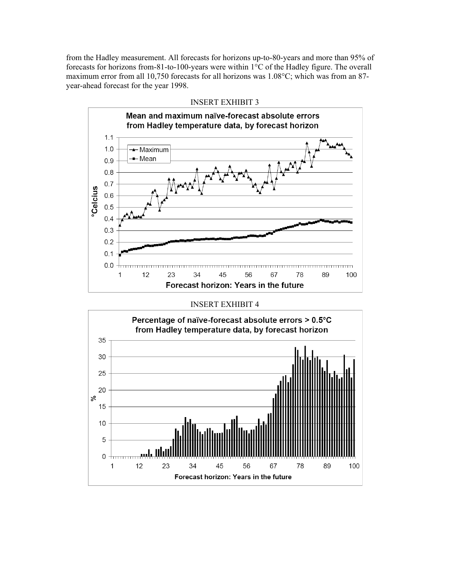from the Hadley measurement. All forecasts for horizons up-to-80-years and more than 95% of forecasts for horizons from-81-to-100-years were within 1°C of the Hadley figure. The overall maximum error from all 10,750 forecasts for all horizons was 1.08°C; which was from an 87 year-ahead forecast for the year 1998.



#### INSERT EXHIBIT 3

#### INSERT EXHIBIT 4

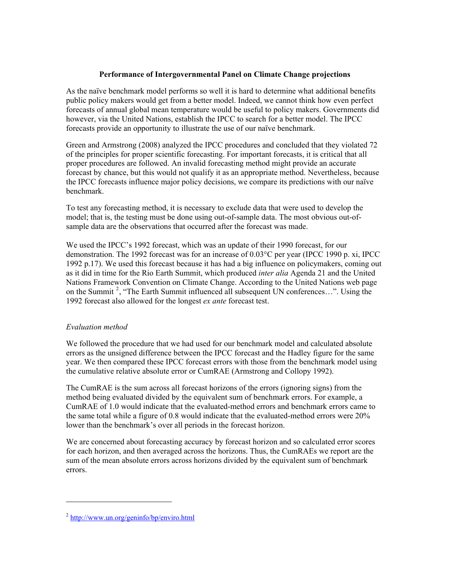# **Performance of Intergovernmental Panel on Climate Change projections**

As the naïve benchmark model performs so well it is hard to determine what additional benefits public policy makers would get from a better model. Indeed, we cannot think how even perfect forecasts of annual global mean temperature would be useful to policy makers. Governments did however, via the United Nations, establish the IPCC to search for a better model. The IPCC forecasts provide an opportunity to illustrate the use of our naïve benchmark.

Green and Armstrong (2008) analyzed the IPCC procedures and concluded that they violated 72 of the principles for proper scientific forecasting. For important forecasts, it is critical that all proper procedures are followed. An invalid forecasting method might provide an accurate forecast by chance, but this would not qualify it as an appropriate method. Nevertheless, because the IPCC forecasts influence major policy decisions, we compare its predictions with our naïve benchmark.

To test any forecasting method, it is necessary to exclude data that were used to develop the model; that is, the testing must be done using out-of-sample data. The most obvious out-ofsample data are the observations that occurred after the forecast was made.

We used the IPCC's 1992 forecast, which was an update of their 1990 forecast, for our demonstration. The 1992 forecast was for an increase of 0.03°C per year (IPCC 1990 p. xi, IPCC 1992 p.17). We used this forecast because it has had a big influence on policymakers, coming out as it did in time for the Rio Earth Summit, which produced *inter alia* Agenda 21 and the United Nations Framework Convention on Climate Change. According to the United Nations web page on the Summit<sup>2</sup>, "The Earth Summit influenced all subsequent UN conferences...". Using the 1992 forecast also allowed for the longest *ex ante* forecast test.

# *Evaluation method*

We followed the procedure that we had used for our benchmark model and calculated absolute errors as the unsigned difference between the IPCC forecast and the Hadley figure for the same year. We then compared these IPCC forecast errors with those from the benchmark model using the cumulative relative absolute error or CumRAE (Armstrong and Collopy 1992).

The CumRAE is the sum across all forecast horizons of the errors (ignoring signs) from the method being evaluated divided by the equivalent sum of benchmark errors. For example, a CumRAE of 1.0 would indicate that the evaluated-method errors and benchmark errors came to the same total while a figure of 0.8 would indicate that the evaluated-method errors were 20% lower than the benchmark's over all periods in the forecast horizon.

We are concerned about forecasting accuracy by forecast horizon and so calculated error scores for each horizon, and then averaged across the horizons. Thus, the CumRAEs we report are the sum of the mean absolute errors across horizons divided by the equivalent sum of benchmark errors.

<sup>&</sup>lt;sup>2</sup> http://www.un.org/geninfo/bp/enviro.html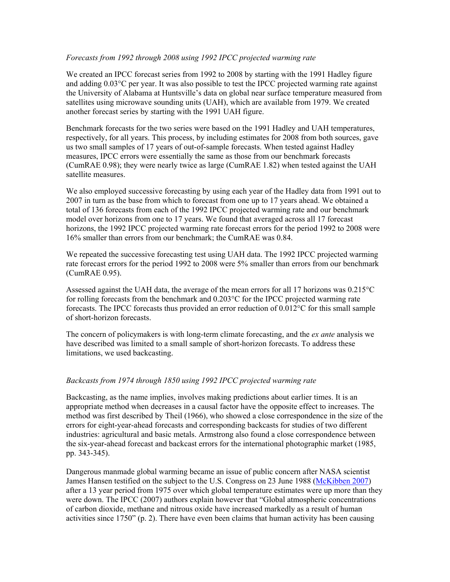## *Forecasts from 1992 through 2008 using 1992 IPCC projected warming rate*

We created an IPCC forecast series from 1992 to 2008 by starting with the 1991 Hadley figure and adding 0.03°C per year. It was also possible to test the IPCC projected warming rate against the University of Alabama at Huntsville's data on global near surface temperature measured from satellites using microwave sounding units (UAH), which are available from 1979. We created another forecast series by starting with the 1991 UAH figure.

Benchmark forecasts for the two series were based on the 1991 Hadley and UAH temperatures, respectively, for all years. This process, by including estimates for 2008 from both sources, gave us two small samples of 17 years of out-of-sample forecasts. When tested against Hadley measures, IPCC errors were essentially the same as those from our benchmark forecasts (CumRAE 0.98); they were nearly twice as large (CumRAE 1.82) when tested against the UAH satellite measures.

We also employed successive forecasting by using each year of the Hadley data from 1991 out to 2007 in turn as the base from which to forecast from one up to 17 years ahead. We obtained a total of 136 forecasts from each of the 1992 IPCC projected warming rate and our benchmark model over horizons from one to 17 years. We found that averaged across all 17 forecast horizons, the 1992 IPCC projected warming rate forecast errors for the period 1992 to 2008 were 16% smaller than errors from our benchmark; the CumRAE was 0.84.

We repeated the successive forecasting test using UAH data. The 1992 IPCC projected warming rate forecast errors for the period 1992 to 2008 were 5% smaller than errors from our benchmark (CumRAE 0.95).

Assessed against the UAH data, the average of the mean errors for all 17 horizons was 0.215°C for rolling forecasts from the benchmark and 0.203°C for the IPCC projected warming rate forecasts. The IPCC forecasts thus provided an error reduction of 0.012°C for this small sample of short-horizon forecasts.

The concern of policymakers is with long-term climate forecasting, and the *ex ante* analysis we have described was limited to a small sample of short-horizon forecasts. To address these limitations, we used backcasting.

## *Backcasts from 1974 through 1850 using 1992 IPCC projected warming rate*

Backcasting, as the name implies, involves making predictions about earlier times. It is an appropriate method when decreases in a causal factor have the opposite effect to increases. The method was first described by Theil (1966), who showed a close correspondence in the size of the errors for eight-year-ahead forecasts and corresponding backcasts for studies of two different industries: agricultural and basic metals. Armstrong also found a close correspondence between the six-year-ahead forecast and backcast errors for the international photographic market (1985, pp. 343-345).

Dangerous manmade global warming became an issue of public concern after NASA scientist James Hansen testified on the subject to the U.S. Congress on 23 June 1988 (McKibben 2007) after a 13 year period from 1975 over which global temperature estimates were up more than they were down. The IPCC (2007) authors explain however that "Global atmospheric concentrations of carbon dioxide, methane and nitrous oxide have increased markedly as a result of human activities since 1750" (p. 2). There have even been claims that human activity has been causing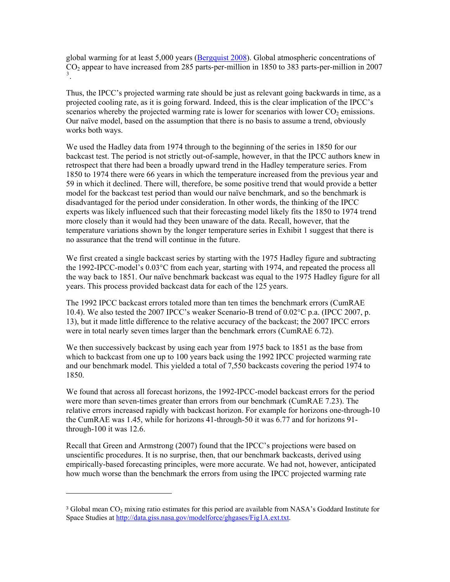global warming for at least 5,000 years (Bergquist 2008). Global atmospheric concentrations of CO2 appear to have increased from 285 parts-per-million in 1850 to 383 parts-per-million in 2007 3 .

Thus, the IPCC's projected warming rate should be just as relevant going backwards in time, as a projected cooling rate, as it is going forward. Indeed, this is the clear implication of the IPCC's scenarios whereby the projected warming rate is lower for scenarios with lower CO<sub>2</sub> emissions. Our naïve model, based on the assumption that there is no basis to assume a trend, obviously works both ways.

We used the Hadley data from 1974 through to the beginning of the series in 1850 for our backcast test. The period is not strictly out-of-sample, however, in that the IPCC authors knew in retrospect that there had been a broadly upward trend in the Hadley temperature series. From 1850 to 1974 there were 66 years in which the temperature increased from the previous year and 59 in which it declined. There will, therefore, be some positive trend that would provide a better model for the backcast test period than would our naïve benchmark, and so the benchmark is disadvantaged for the period under consideration. In other words, the thinking of the IPCC experts was likely influenced such that their forecasting model likely fits the 1850 to 1974 trend more closely than it would had they been unaware of the data. Recall, however, that the temperature variations shown by the longer temperature series in Exhibit 1 suggest that there is no assurance that the trend will continue in the future.

We first created a single backcast series by starting with the 1975 Hadley figure and subtracting the 1992-IPCC-model's 0.03°C from each year, starting with 1974, and repeated the process all the way back to 1851. Our naïve benchmark backcast was equal to the 1975 Hadley figure for all years. This process provided backcast data for each of the 125 years.

The 1992 IPCC backcast errors totaled more than ten times the benchmark errors (CumRAE 10.4). We also tested the 2007 IPCC's weaker Scenario-B trend of 0.02°C p.a. (IPCC 2007, p. 13), but it made little difference to the relative accuracy of the backcast; the 2007 IPCC errors were in total nearly seven times larger than the benchmark errors (CumRAE 6.72).

We then successively backcast by using each year from 1975 back to 1851 as the base from which to backcast from one up to 100 years back using the 1992 IPCC projected warming rate and our benchmark model. This yielded a total of 7,550 backcasts covering the period 1974 to 1850.

We found that across all forecast horizons, the 1992-IPCC-model backcast errors for the period were more than seven-times greater than errors from our benchmark (CumRAE 7.23). The relative errors increased rapidly with backcast horizon. For example for horizons one-through-10 the CumRAE was 1.45, while for horizons 41-through-50 it was 6.77 and for horizons 91 through-100 it was 12.6.

Recall that Green and Armstrong (2007) found that the IPCC's projections were based on unscientific procedures. It is no surprise, then, that our benchmark backcasts, derived using empirically-based forecasting principles, were more accurate. We had not, however, anticipated how much worse than the benchmark the errors from using the IPCC projected warming rate

<sup>&</sup>lt;sup>3</sup> Global mean CO<sub>2</sub> mixing ratio estimates for this period are available from NASA's Goddard Institute for Space Studies at http://data.giss.nasa.gov/modelforce/ghgases/Fig1A.ext.txt.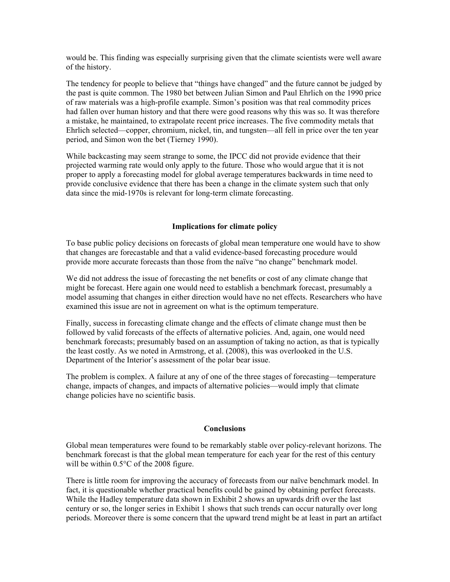would be. This finding was especially surprising given that the climate scientists were well aware of the history.

The tendency for people to believe that "things have changed" and the future cannot be judged by the past is quite common. The 1980 bet between Julian Simon and Paul Ehrlich on the 1990 price of raw materials was a high-profile example. Simon's position was that real commodity prices had fallen over human history and that there were good reasons why this was so. It was therefore a mistake, he maintained, to extrapolate recent price increases. The five commodity metals that Ehrlich selected—copper, chromium, nickel, tin, and tungsten—all fell in price over the ten year period, and Simon won the bet (Tierney 1990).

While backcasting may seem strange to some, the IPCC did not provide evidence that their projected warming rate would only apply to the future. Those who would argue that it is not proper to apply a forecasting model for global average temperatures backwards in time need to provide conclusive evidence that there has been a change in the climate system such that only data since the mid-1970s is relevant for long-term climate forecasting.

## **Implications for climate policy**

To base public policy decisions on forecasts of global mean temperature one would have to show that changes are forecastable and that a valid evidence-based forecasting procedure would provide more accurate forecasts than those from the naïve "no change" benchmark model.

We did not address the issue of forecasting the net benefits or cost of any climate change that might be forecast. Here again one would need to establish a benchmark forecast, presumably a model assuming that changes in either direction would have no net effects. Researchers who have examined this issue are not in agreement on what is the optimum temperature.

Finally, success in forecasting climate change and the effects of climate change must then be followed by valid forecasts of the effects of alternative policies. And, again, one would need benchmark forecasts; presumably based on an assumption of taking no action, as that is typically the least costly. As we noted in Armstrong, et al. (2008), this was overlooked in the U.S. Department of the Interior's assessment of the polar bear issue.

The problem is complex. A failure at any of one of the three stages of forecasting—temperature change, impacts of changes, and impacts of alternative policies—would imply that climate change policies have no scientific basis.

#### **Conclusions**

Global mean temperatures were found to be remarkably stable over policy-relevant horizons. The benchmark forecast is that the global mean temperature for each year for the rest of this century will be within  $0.5^{\circ}$ C of the 2008 figure.

There is little room for improving the accuracy of forecasts from our naïve benchmark model. In fact, it is questionable whether practical benefits could be gained by obtaining perfect forecasts. While the Hadley temperature data shown in Exhibit 2 shows an upwards drift over the last century or so, the longer series in Exhibit 1 shows that such trends can occur naturally over long periods. Moreover there is some concern that the upward trend might be at least in part an artifact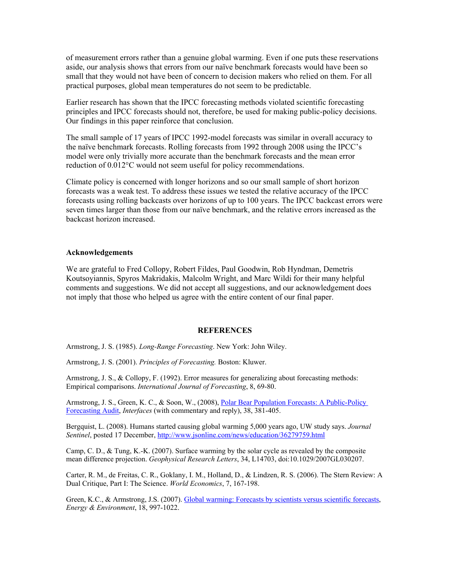of measurement errors rather than a genuine global warming. Even if one puts these reservations aside, our analysis shows that errors from our naïve benchmark forecasts would have been so small that they would not have been of concern to decision makers who relied on them. For all practical purposes, global mean temperatures do not seem to be predictable.

Earlier research has shown that the IPCC forecasting methods violated scientific forecasting principles and IPCC forecasts should not, therefore, be used for making public-policy decisions. Our findings in this paper reinforce that conclusion.

The small sample of 17 years of IPCC 1992-model forecasts was similar in overall accuracy to the naïve benchmark forecasts. Rolling forecasts from 1992 through 2008 using the IPCC's model were only trivially more accurate than the benchmark forecasts and the mean error reduction of 0.012°C would not seem useful for policy recommendations.

Climate policy is concerned with longer horizons and so our small sample of short horizon forecasts was a weak test. To address these issues we tested the relative accuracy of the IPCC forecasts using rolling backcasts over horizons of up to 100 years. The IPCC backcast errors were seven times larger than those from our naïve benchmark, and the relative errors increased as the backcast horizon increased.

#### **Acknowledgements**

We are grateful to Fred Collopy, Robert Fildes, Paul Goodwin, Rob Hyndman, Demetris Koutsoyiannis, Spyros Makridakis, Malcolm Wright, and Marc Wildi for their many helpful comments and suggestions. We did not accept all suggestions, and our acknowledgement does not imply that those who helped us agree with the entire content of our final paper.

#### **REFERENCES**

Armstrong, J. S. (1985). *Long-Range Forecasting*. New York: John Wiley.

Armstrong, J. S. (2001). *Principles of Forecasting.* Boston: Kluwer.

Armstrong, J. S., & Collopy, F. (1992). Error measures for generalizing about forecasting methods: Empirical comparisons. *International Journal of Forecasting*, 8, 69-80.

Armstrong, J. S., Green, K. C., & Soon, W., (2008), Polar Bear Population Forecasts: A Public-Policy Forecasting Audit, *Interfaces* (with commentary and reply), 38, 381-405.

Bergquist, L. (2008). Humans started causing global warming 5,000 years ago, UW study says. *Journal Sentinel*, posted 17 December, http://www.jsonline.com/news/education/36279759.html

Camp, C. D., & Tung, K.-K. (2007). Surface warming by the solar cycle as revealed by the composite mean difference projection. *Geophysical Research Letters*, 34, L14703, doi:10.1029/2007GL030207.

Carter, R. M., de Freitas, C. R., Goklany, I. M., Holland, D., & Lindzen, R. S. (2006). The Stern Review: A Dual Critique, Part I: The Science. *World Economics*, 7, 167-198.

Green, K.C., & Armstrong, J.S. (2007). Global warming: Forecasts by scientists versus scientific forecasts, *Energy & Environment*, 18, 997-1022.